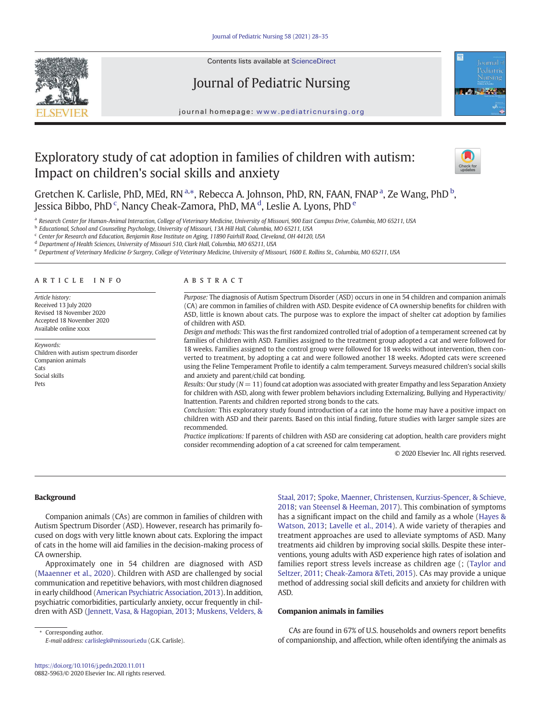

Contents lists available at ScienceDirect

# Journal of Pediatric Nursing



journal homepage: www.pediatricnursing.org

# Exploratory study of cat adoption in families of children with autism: Impact on children's social skills and anxiety



Gretchen K. Carlisle, PhD, MEd, RN<sup>a,\*</sup>, Rebecca A. Johnson, PhD, RN, FAAN, FNAP<sup>a</sup>, Ze Wang, PhD<sup>b</sup>, Jessica Bibbo, PhD  $\lq$ , Nancy Cheak-Zamora, PhD, MA  $\rm ^d$ , Leslie A. Lyons, PhD  $\rm ^e$ 

a *Research Center for Human-Animal Interaction, College of Veterinary Medicine, University of Missouri, 900 East Campus Drive, Columbia, MO 65211, USA*

b *Educational, School and Counseling Psychology, University of Missouri, 13A Hill Hall, Columbia, MO 65211, USA*

c *Center for Research and Education, Benjamin Rose Institute on Aging, 11890 Fairhill Road, Cleveland, OH 44120, USA*

<sup>d</sup> *Department of Health Sciences, University of Missouri 510, Clark Hall, Columbia, MO 65211, USA*

<sup>e</sup> *Department of Veterinary Medicine & Surgery, College of Veterinary Medicine, University of Missouri, 1600 E. Rollins St., Columbia, MO 65211, USA*

# article info abstract

*Article history:* Received 13 July 2020 Revised 18 November 2020 Accepted 18 November 2020 Available online xxxx

*Keywords:* Children with autism spectrum disorder Companion animals Cats Social skills Pets

*Purpose:* The diagnosis of Autism Spectrum Disorder (ASD) occurs in one in 54 children and companion animals (CA) are common in families of children with ASD. Despite evidence of CA ownership benefits for children with ASD, little is known about cats. The purpose was to explore the impact of shelter cat adoption by families of children with ASD.

*Design and methods:* This was the first randomized controlled trial of adoption of a temperament screened cat by families of children with ASD. Families assigned to the treatment group adopted a cat and were followed for 18 weeks. Families assigned to the control group were followed for 18 weeks without intervention, then converted to treatment, by adopting a cat and were followed another 18 weeks. Adopted cats were screened using the Feline Temperament Profile to identify a calm temperament. Surveys measured children's social skills and anxiety and parent/child cat bonding.

*Results:* Our study (*N* = 11) found cat adoption was associated with greater Empathy and less Separation Anxiety for children with ASD, along with fewer problem behaviors including Externalizing, Bullying and Hyperactivity/ Inattention. Parents and children reported strong bonds to the cats.

*Conclusion:* This exploratory study found introduction of a cat into the home may have a positive impact on children with ASD and their parents. Based on this intial finding, future studies with larger sample sizes are recommended.

*Practice implications:* If parents of children with ASD are considering cat adoption, health care providers might consider recommending adoption of a cat screened for calm temperament.

© 2020 Elsevier Inc. All rights reserved.

#### Background

Companion animals (CAs) are common in families of children with Autism Spectrum Disorder (ASD). However, research has primarily focused on dogs with very little known about cats. Exploring the impact of cats in the home will aid families in the decision-making process of CA ownership.

Approximately one in 54 children are diagnosed with ASD (Maaenner et al., 2020). Children with ASD are challenged by social communication and repetitive behaviors, with most children diagnosed in early childhood (American Psychiatric Association, 2013). In addition, psychiatric comorbidities, particularly anxiety, occur frequently in children with ASD (Jennett, Vasa, & Hagopian, 2013; Muskens, Velders, &

Corresponding author. *E-mail address:* carlislegk@missouri.edu (G.K. Carlisle). Staal, 2017; Spoke, Maenner, Christensen, Kurzius-Spencer, & Schieve, 2018; van Steensel & Heeman, 2017). This combination of symptoms has a significant impact on the child and family as a whole (Hayes & Watson, 2013; Lavelle et al., 2014). A wide variety of therapies and treatment approaches are used to alleviate symptoms of ASD. Many treatments aid children by improving social skills. Despite these interventions, young adults with ASD experience high rates of isolation and families report stress levels increase as children age (; (Taylor and Seltzer, 2011; Cheak-Zamora &Teti, 2015). CAs may provide a unique method of addressing social skill deficits and anxiety for children with ASD.

#### Companion animals in families

CAs are found in 67% of U.S. households and owners report benefits of companionship, and affection, while often identifying the animals as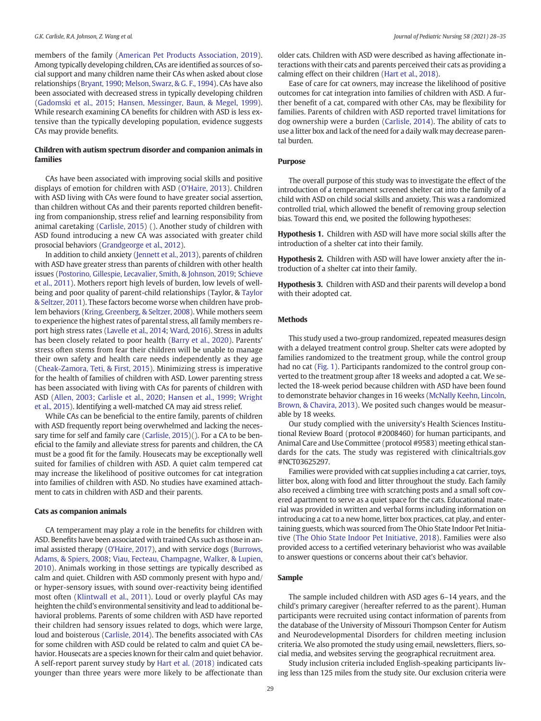members of the family (American Pet Products Association, 2019). Among typically developing children, CAs are identified as sources of social support and many children name their CAs when asked about close relationships (Bryant, 1990; Melson, Swarz, & G. F., 1994). CAs have also been associated with decreased stress in typically developing children (Gadomski et al., 2015; Hansen, Messinger, Baun, & Megel, 1999). While research examining CA benefits for children with ASD is less extensive than the typically developing population, evidence suggests CAs may provide benefits.

# Children with autism spectrum disorder and companion animals in families

CAs have been associated with improving social skills and positive displays of emotion for children with ASD (O'Haire, 2013). Children with ASD living with CAs were found to have greater social assertion, than children without CAs and their parents reported children benefiting from companionship, stress relief and learning responsibility from animal caretaking (Carlisle, 2015) (). Another study of children with ASD found introducing a new CA was associated with greater child prosocial behaviors (Grandgeorge et al., 2012).

In addition to child anxiety (Jennett et al., 2013), parents of children with ASD have greater stress than parents of children with other health issues (Postorino, Gillespie, Lecavalier, Smith, & Johnson, 2019; Schieve et al., 2011). Mothers report high levels of burden, low levels of wellbeing and poor quality of parent-child relationships (Taylor, & Taylor & Seltzer, 2011). These factors become worse when children have problem behaviors (Kring, Greenberg, & Seltzer, 2008). While mothers seem to experience the highest rates of parental stress, all family members report high stress rates (Lavelle et al., 2014; Ward, 2016). Stress in adults has been closely related to poor health (Barry et al., 2020). Parents' stress often stems from fear their children will be unable to manage their own safety and health care needs independently as they age (Cheak-Zamora, Teti, & First, 2015). Minimizing stress is imperative for the health of families of children with ASD. Lower parenting stress has been associated with living with CAs for parents of children with ASD (Allen, 2003; Carlisle et al., 2020; Hansen et al., 1999; Wright et al., 2015). Identifying a well-matched CA may aid stress relief.

While CAs can be beneficial to the entire family, parents of children with ASD frequently report being overwhelmed and lacking the necessary time for self and family care (Carlisle, 2015)(). For a CA to be beneficial to the family and alleviate stress for parents and children, the CA must be a good fit for the family. Housecats may be exceptionally well suited for families of children with ASD. A quiet calm tempered cat may increase the likelihood of positive outcomes for cat integration into families of children with ASD. No studies have examined attachment to cats in children with ASD and their parents.

## Cats as companion animals

CA temperament may play a role in the benefits for children with ASD. Benefits have been associated with trained CAs such as those in animal assisted therapy (O'Haire, 2017), and with service dogs (Burrows, Adams, & Spiers, 2008; Viau, Fecteau, Champagne, Walker, & Lupien, 2010). Animals working in those settings are typically described as calm and quiet. Children with ASD commonly present with hypo and/ or hyper-sensory issues, with sound over-reactivity being identified most often (Klintwall et al., 2011). Loud or overly playful CAs may heighten the child's environmental sensitivity and lead to additional behavioral problems. Parents of some children with ASD have reported their children had sensory issues related to dogs, which were large, loud and boisterous (Carlisle, 2014). The benefits associated with CAs for some children with ASD could be related to calm and quiet CA behavior. Housecats are a species known for their calm and quiet behavior. A self-report parent survey study by Hart et al. (2018) indicated cats younger than three years were more likely to be affectionate than

older cats. Children with ASD were described as having affectionate interactions with their cats and parents perceived their cats as providing a calming effect on their children (Hart et al., 2018).

Ease of care for cat owners, may increase the likelihood of positive outcomes for cat integration into families of children with ASD. A further benefit of a cat, compared with other CAs, may be flexibility for families. Parents of children with ASD reported travel limitations for dog ownership were a burden (Carlisle, 2014). The ability of cats to use a litter box and lack of the need for a daily walk may decrease parental burden.

#### Purpose

The overall purpose of this study was to investigate the effect of the introduction of a temperament screened shelter cat into the family of a child with ASD on child social skills and anxiety. This was a randomized controlled trial, which allowed the benefit of removing group selection bias. Toward this end, we posited the following hypotheses:

Hypothesis 1. Children with ASD will have more social skills after the introduction of a shelter cat into their family.

Hypothesis 2. Children with ASD will have lower anxiety after the introduction of a shelter cat into their family.

Hypothesis 3. Children with ASD and their parents will develop a bond with their adopted cat.

#### Methods

This study used a two-group randomized, repeated measures design with a delayed treatment control group. Shelter cats were adopted by families randomized to the treatment group, while the control group had no cat (Fig. 1). Participants randomized to the control group converted to the treatment group after 18 weeks and adopted a cat. We selected the 18-week period because children with ASD have been found to demonstrate behavior changes in 16 weeks (McNally Keehn, Lincoln, Brown, & Chavira, 2013). We posited such changes would be measurable by 18 weeks.

Our study complied with the university's Health Sciences Institutional Review Board (protocol #2008460) for human participants, and Animal Care and Use Committee (protocol #9583) meeting ethical standards for the cats. The study was registered with clinicaltrials.gov #NCT03625297.

Families were provided with cat supplies including a cat carrier, toys, litter box, along with food and litter throughout the study. Each family also received a climbing tree with scratching posts and a small soft covered apartment to serve as a quiet space for the cats. Educational material was provided in written and verbal forms including information on introducing a cat to a new home, litter box practices, cat play, and entertaining guests, which was sourced from The Ohio State Indoor Pet Initiative (The Ohio State Indoor Pet Initiative, 2018). Families were also provided access to a certified veterinary behaviorist who was available to answer questions or concerns about their cat's behavior.

#### Sample

The sample included children with ASD ages 6–14 years, and the child's primary caregiver (hereafter referred to as the parent). Human participants were recruited using contact information of parents from the database of the University of Missouri Thompson Center for Autism and Neurodevelopmental Disorders for children meeting inclusion criteria. We also promoted the study using email, newsletters, fliers, social media, and websites serving the geographical recruitment area.

Study inclusion criteria included English-speaking participants living less than 125 miles from the study site. Our exclusion criteria were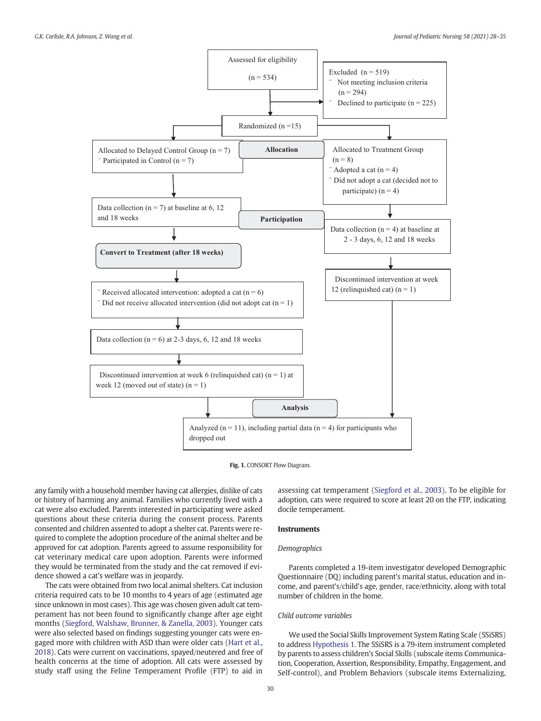



any family with a household member having cat allergies, dislike of cats or history of harming any animal. Families who currently lived with a cat were also excluded. Parents interested in participating were asked questions about these criteria during the consent process. Parents consented and children assented to adopt a shelter cat. Parents were required to complete the adoption procedure of the animal shelter and be approved for cat adoption. Parents agreed to assume responsibility for cat veterinary medical care upon adoption. Parents were informed they would be terminated from the study and the cat removed if evidence showed a cat's welfare was in jeopardy.

The cats were obtained from two local animal shelters. Cat inclusion criteria required cats to be 10 months to 4 years of age (estimated age since unknown in most cases). This age was chosen given adult cat temperament has not been found to significantly change after age eight months (Siegford, Walshaw, Brunner, & Zanella, 2003). Younger cats were also selected based on findings suggesting younger cats were engaged more with children with ASD than were older cats (Hart et al., 2018). Cats were current on vaccinations, spayed/neutered and free of health concerns at the time of adoption. All cats were assessed by study staff using the Feline Temperament Profile (FTP) to aid in assessing cat temperament (Siegford et al., 2003). To be eligible for adoption, cats were required to score at least 20 on the FTP, indicating docile temperament.

#### Instruments

#### *Demographics*

Parents completed a 19-item investigator developed Demographic Questionnaire (DQ) including parent's marital status, education and income, and parent's/child's age, gender, race/ethnicity, along with total number of children in the home.

# *Child outcome variables*

We used the Social Skills Improvement System Rating Scale (SSiSRS) to address Hypothesis 1. The SSiSRS is a 79-item instrument completed by parents to assess children's Social Skills (subscale items Communication, Cooperation, Assertion, Responsibility, Empathy, Engagement, and Self-control), and Problem Behaviors (subscale items Externalizing,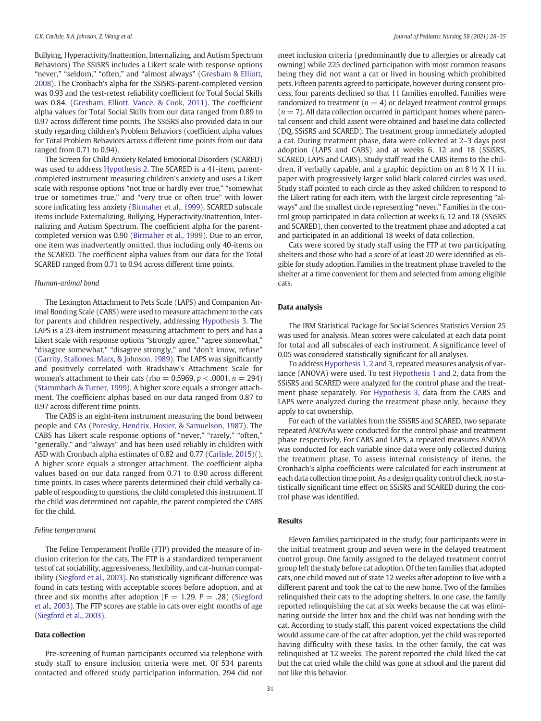Bullying, Hyperactivity/Inattention, Internalizing, and Autism Spectrum Behaviors) The SSiSRS includes a Likert scale with response options "never," "seldom," "often," and "almost always" (Gresham & Elliott, 2008). The Cronbach's alpha for the SSiSRS-parent-completed version was 0.93 and the test-retest reliability coefficient for Total Social Skills was 0.84. (Gresham, Elliott, Vance, & Cook, 2011). The coefficient alpha values for Total Social Skills from our data ranged from 0.89 to 0.97 across different time points. The SSiSRS also provided data in our study regarding children's Problem Behaviors (coefficient alpha values for Total Problem Behaviors across different time points from our data ranged from 0.71 to 0.94).

The Screen for Child Anxiety Related Emotional Disorders (SCARED) was used to address Hypothesis 2. The SCARED is a 41-item, parentcompleted instrument measuring children's anxiety and uses a Likert scale with response options "not true or hardly ever true," "somewhat true or sometimes true," and "very true or often true" with lower score indicating less anxiety (Birmaher et al., 1999). SCARED subscale items include Externalizing, Bullying, Hyperactivity/Inattention, Internalizing and Autism Spectrum. The coefficient alpha for the parentcompleted version was 0.90 (Birmaher et al., 1999). Due to an error, one item was inadvertently omitted, thus including only 40-items on the SCARED. The coefficient alpha values from our data for the Total SCARED ranged from 0.71 to 0.94 across different time points.

#### *Human-animal bond*

The Lexington Attachment to Pets Scale (LAPS) and Companion Animal Bonding Scale (CABS) were used to measure attachment to the cats for parents and children respectively, addressing Hypothesis 3. The LAPS is a 23-item instrument measuring attachment to pets and has a Likert scale with response options "strongly agree," "agree somewhat," "disagree somewhat," "disagree strongly," and "don't know, refuse" (Garrity, Stallones, Marx, & Johnson, 1989). The LAPS was significantly and positively correlated with Bradshaw's Attachment Scale for women's attachment to their cats (rho = 0.5969, *p* < .0001, *n* = 294) (Stammbach & Turner, 1999). A higher score equals a stronger attachment. The coefficient alphas based on our data ranged from 0.87 to 0.97 across different time points.

The CABS is an eight-item instrument measuring the bond between people and CAs (Poresky, Hendrix, Hosier, & Samuelson, 1987). The CABS has Likert scale response options of "never," "rarely," "often," "generally," and "always" and has been used reliably in children with ASD with Cronbach alpha estimates of 0.82 and 0.77 (Carlisle, 2015)(). A higher score equals a stronger attachment. The coefficient alpha values based on our data ranged from 0.71 to 0.90 across different time points. In cases where parents determined their child verbally capable of responding to questions, the child completed this instrument. If the child was determined not capable, the parent completed the CABS for the child.

#### *Feline temperament*

The Feline Temperament Profile (FTP) provided the measure of inclusion criterion for the cats. The FTP is a standardized temperament test of cat sociability, aggressiveness, flexibility, and cat-human compatibility (Siegford et al., 2003). No statistically significant difference was found in cats testing with acceptable scores before adoption, and at three and six months after adoption ( $F = 1.29$ .  $P = .28$ ) (Siegford et al., 2003). The FTP scores are stable in cats over eight months of age (Siegford et al., 2003).

#### Data collection

Pre-screening of human participants occurred via telephone with study staff to ensure inclusion criteria were met. Of 534 parents contacted and offered study participation information, 294 did not meet inclusion criteria (predominantly due to allergies or already cat owning) while 225 declined participation with most common reasons being they did not want a cat or lived in housing which prohibited pets. Fifteen parents agreed to participate, however during consent process, four parents declined so that 11 families enrolled. Families were randomized to treatment ( $n = 4$ ) or delayed treatment control groups  $(n = 7)$ . All data collection occurred in participant homes where parental consent and child assent were obtained and baseline data collected (DQ, SSiSRS and SCARED). The treatment group immediately adopted a cat. During treatment phase, data were collected at 2–3 days post adoption (LAPS and CABS) and at weeks 6, 12 and 18 (SSiSRS, SCARED, LAPS and CABS). Study staff read the CABS items to the children, if verbally capable, and a graphic depiction on an 8 ½ X 11 in. paper with progressively larger solid black colored circles was used. Study staff pointed to each circle as they asked children to respond to the Likert rating for each item, with the largest circle representing "always" and the smallest circle representing "never." Families in the control group participated in data collection at weeks 6, 12 and 18 (SSiSRS and SCARED), then converted to the treatment phase and adopted a cat and participated in an additional 18 weeks of data collection.

Cats were scored by study staff using the FTP at two participating shelters and those who had a score of at least 20 were identified as eligible for study adoption. Families in the treatment phase traveled to the shelter at a time convenient for them and selected from among eligible cats.

### Data analysis

The IBM Statistical Package for Social Sciences Statistics Version 25 was used for analysis. Mean scores were calculated at each data point for total and all subscales of each instrument. A significance level of 0.05 was considered statistically significant for all analyses.

To address Hypothesis 1, 2 and 3, repeated measures analysis of variance (ANOVA) were used. To test Hypothesis 1 and 2, data from the SSiSRS and SCARED were analyzed for the control phase and the treatment phase separately. For Hypothesis 3, data from the CABS and LAPS were analyzed during the treatment phase only, because they apply to cat ownership.

For each of the variables from the SSiSRS and SCARED, two separate repeated ANOVAs were conducted for the control phase and treatment phase respectively. For CABS and LAPS, a repeated measures ANOVA was conducted for each variable since data were only collected during the treatment phase. To assess internal consistency of items, the Cronbach's alpha coefficients were calculated for each instrument at each data collection time point. As a design quality control check, no statistically significant time effect on SSiSRS and SCARED during the control phase was identified.

#### Results

Eleven families participated in the study; four participants were in the initial treatment group and seven were in the delayed treatment control group. One family assigned to the delayed treatment control group left the study before cat adoption. Of the ten families that adopted cats, one child moved out of state 12 weeks after adoption to live with a different parent and took the cat to the new home. Two of the families relinquished their cats to the adopting shelters. In one case, the family reported relinquishing the cat at six weeks because the cat was eliminating outside the litter box and the child was not bonding with the cat. According to study staff, this parent voiced expectations the child would assume care of the cat after adoption, yet the child was reported having difficulty with these tasks. In the other family, the cat was relinquished at 12 weeks. The parent reported the child liked the cat but the cat cried while the child was gone at school and the parent did not like this behavior.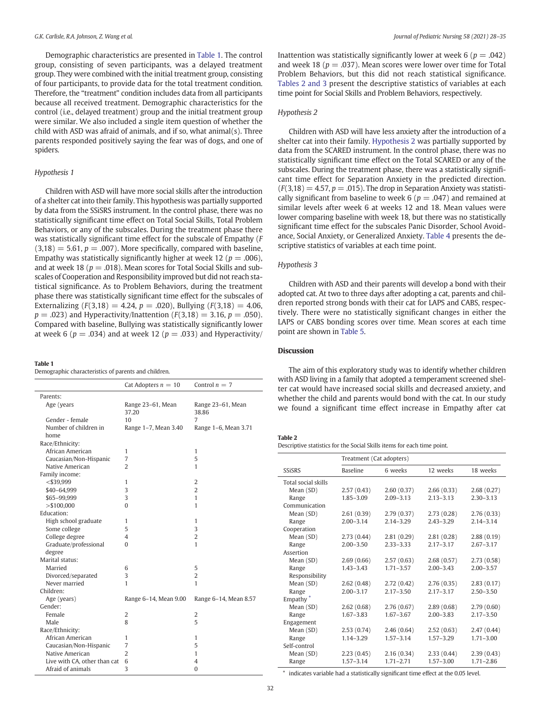Demographic characteristics are presented in Table 1. The control group, consisting of seven participants, was a delayed treatment group. They were combined with the initial treatment group, consisting of four participants, to provide data for the total treatment condition. Therefore, the "treatment" condition includes data from all participants because all received treatment. Demographic characteristics for the control (i.e., delayed treatment) group and the initial treatment group were similar. We also included a single item question of whether the child with ASD was afraid of animals, and if so, what animal(s). Three parents responded positively saying the fear was of dogs, and one of spiders.

#### *Hypothesis 1*

Children with ASD will have more social skills after the introduction of a shelter cat into their family. This hypothesis was partially supported by data from the SSiSRS instrument. In the control phase, there was no statistically significant time effect on Total Social Skills, Total Problem Behaviors, or any of the subscales. During the treatment phase there was statistically significant time effect for the subscale of Empathy (*F*  $(3,18) = 5.61, p = .007$ . More specifically, compared with baseline, Empathy was statistically significantly higher at week 12 ( $p = .006$ ), and at week 18 ( $p = .018$ ). Mean scores for Total Social Skills and subscales of Cooperation and Responsibility improved but did not reach statistical significance. As to Problem Behaviors, during the treatment phase there was statistically significant time effect for the subscales of Externalizing  $(F(3,18) = 4.24, p = .020)$ , Bullying  $(F(3,18) = 4.06,$  $p = .023$ ) and Hyperactivity/Inattention ( $F(3,18) = 3.16$ ,  $p = .050$ ). Compared with baseline, Bullying was statistically significantly lower at week 6 ( $p = .034$ ) and at week 12 ( $p = .033$ ) and Hyperactivity/

#### Table 1

Demographic characteristics of parents and children.

|                              | Cat Adopters $n = 10$      | Control $n = 7$            |
|------------------------------|----------------------------|----------------------------|
| Parents:                     |                            |                            |
| Age (years                   | Range 23-61, Mean<br>37.20 | Range 23-61, Mean<br>38.86 |
| Gender - female              | 10                         | 7                          |
| Number of children in        | Range 1-7, Mean 3.40       | Range 1-6, Mean 3.71       |
| home                         |                            |                            |
| Race/Ethnicity:              |                            |                            |
| African American             | 1                          | 1                          |
| Caucasian/Non-Hispanic       | $\overline{7}$             | 5                          |
| Native American              | $\overline{2}$             | 1                          |
| Family income:               |                            |                            |
| $<$ \$39,999                 | 1                          | $\overline{2}$             |
| \$40-64,999                  | 3                          | $\overline{2}$             |
| \$65-99,999                  | 3                          | $\mathbf{1}$               |
| $>$ \$100,000                | $\Omega$                   | 1                          |
| Education:                   |                            |                            |
| High school graduate         | 1                          | $\mathbf{1}$               |
| Some college                 | 5                          | 3                          |
| College degree               | 4                          | $\overline{2}$             |
| Graduate/professional        | $\Omega$                   | 1                          |
| degree                       |                            |                            |
| Marital status:              |                            |                            |
| Married                      | 6                          | 5                          |
| Divorced/separated           | 3                          | $\overline{2}$             |
| Never married                | 1                          | 1                          |
| Children:                    |                            |                            |
| Age (years)                  | Range 6-14, Mean 9.00      | Range 6-14, Mean 8.57      |
| Gender:                      |                            |                            |
| Female                       | 2                          | 2                          |
| Male                         | 8                          | 5                          |
| Race/Ethnicity:              |                            |                            |
| African American             | 1                          | 1                          |
| Caucasian/Non-Hispanic       | 7                          | 5                          |
| Native American              | $\overline{2}$             | $\mathbf{1}$               |
| Live with CA, other than cat | 6                          | $\overline{4}$             |
| Afraid of animals            | 3                          | $\theta$                   |

Inattention was statistically significantly lower at week  $6 (p = .042)$ and week 18 ( $p = .037$ ). Mean scores were lower over time for Total Problem Behaviors, but this did not reach statistical significance. Tables 2 and 3 present the descriptive statistics of variables at each time point for Social Skills and Problem Behaviors, respectively.

### *Hypothesis 2*

Children with ASD will have less anxiety after the introduction of a shelter cat into their family. Hypothesis 2 was partially supported by data from the SCARED instrument. In the control phase, there was no statistically significant time effect on the Total SCARED or any of the subscales. During the treatment phase, there was a statistically significant time effect for Separation Anxiety in the predicted direction.  $(F(3,18) = 4.57, p = .015)$ . The drop in Separation Anxiety was statistically significant from baseline to week  $6 (p = .047)$  and remained at similar levels after week 6 at weeks 12 and 18. Mean values were lower comparing baseline with week 18, but there was no statistically significant time effect for the subscales Panic Disorder, School Avoidance, Social Anxiety, or Generalized Anxiety. Table 4 presents the descriptive statistics of variables at each time point.

# *Hypothesis 3*

Children with ASD and their parents will develop a bond with their adopted cat. At two to three days after adopting a cat, parents and children reported strong bonds with their cat for LAPS and CABS, respectively. There were no statistically significant changes in either the LAPS or CABS bonding scores over time. Mean scores at each time point are shown in Table 5.

#### Discussion

The aim of this exploratory study was to identify whether children with ASD living in a family that adopted a temperament screened shelter cat would have increased social skills and decreased anxiety, and whether the child and parents would bond with the cat. In our study we found a significant time effect increase in Empathy after cat

#### Table 2

Descriptive statistics for the Social Skills items for each time point.

|                      | Treatment (Cat adopters) |               |               |               |
|----------------------|--------------------------|---------------|---------------|---------------|
| <b>SSISRS</b>        | <b>Baseline</b>          | 6 weeks       | 12 weeks      | 18 weeks      |
| Total social skills  |                          |               |               |               |
| Mean (SD)            | 2.57(0.43)               | 2.60(0.37)    | 2.66(0.33)    | 2.68(0.27)    |
| Range                | $1.85 - 3.09$            | $2.09 - 3.13$ | $2.13 - 3.13$ | $2.30 - 3.13$ |
| Communication        |                          |               |               |               |
| Mean (SD)            | 2.61(0.39)               | 2.79(0.37)    | 2.73(0.28)    | 2.76(0.33)    |
| Range                | $2.00 - 3.14$            | $2.14 - 3.29$ | $2.43 - 3.29$ | $2.14 - 3.14$ |
| Cooperation          |                          |               |               |               |
| Mean (SD)            | 2.73(0.44)               | 2.81(0.29)    | 2.81(0.28)    | 2.88(0.19)    |
| Range                | $2.00 - 3.50$            | $2.33 - 3.33$ | $2.17 - 3.17$ | $2.67 - 3.17$ |
| Assertion            |                          |               |               |               |
| Mean (SD)            | 2.69(0.66)               | 2.57(0.63)    | 2.68(0.57)    | 2.73(0.58)    |
| Range                | $1.43 - 3.43$            | $1.71 - 3.57$ | $2.00 - 3.43$ | $2.00 - 3.57$ |
| Responsibility       |                          |               |               |               |
| Mean (SD)            | 2.62(0.48)               | 2.72(0.42)    | 2.76(0.35)    | 2.83(0.17)    |
| Range                | $2.00 - 3.17$            | $2.17 - 3.50$ | $2.17 - 3.17$ | $2.50 - 3.50$ |
| Empathy <sup>*</sup> |                          |               |               |               |
| Mean (SD)            | 2.62(0.68)               | 2.76(0.67)    | 2.89(0.68)    | 2.79(0.60)    |
| Range                | $1.67 - 3.83$            | $1.67 - 3.67$ | $2.00 - 3.83$ | $2.17 - 3.50$ |
| Engagement           |                          |               |               |               |
| Mean (SD)            | 2.53(0.74)               | 2.46(0.64)    | 2.52(0.63)    | 2.47(0.44)    |
| Range                | $1.14 - 3.29$            | $1.57 - 3.14$ | $1.57 - 3.29$ | $1.71 - 3.00$ |
| Self-control         |                          |               |               |               |
| Mean (SD)            | 2.23(0.45)               | 2.16(0.34)    | 2.33(0.44)    | 2.39(0.43)    |
| Range                | $1.57 - 3.14$            | $1.71 - 2.71$ | $1.57 - 3.00$ | $1.71 - 2.86$ |

⁎ indicates variable had a statistically significant time effect at the 0.05 level.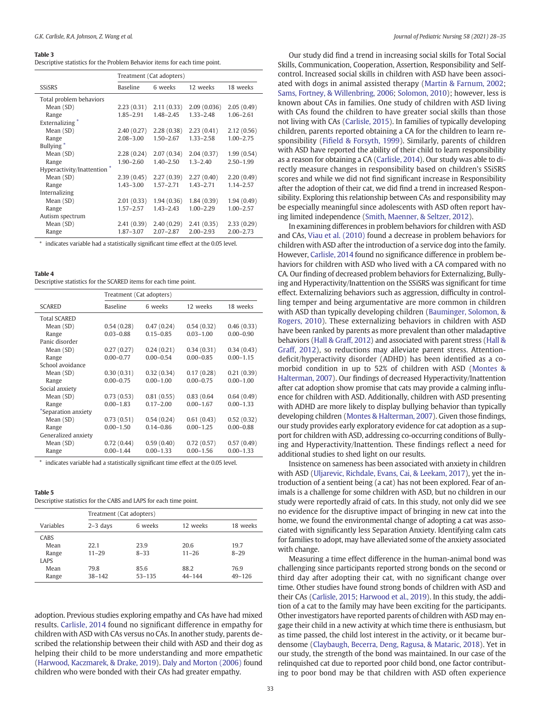#### Table 3

| Descriptive statistics for the Problem Behavior items for each time point. |  |
|----------------------------------------------------------------------------|--|
|----------------------------------------------------------------------------|--|

|                            | Treatment (Cat adopters) |               |               |               |
|----------------------------|--------------------------|---------------|---------------|---------------|
| SSiSRS                     | <b>Baseline</b>          | 6 weeks       | 12 weeks      | 18 weeks      |
| Total problem behaviors    |                          |               |               |               |
| Mean (SD)                  | 2.23(0.31)               | 2.11(0.33)    | 2.09(0.036)   | 2.05(0.49)    |
| Range                      | $1.85 - 2.91$            | 1.48-2.45     | $1.33 - 2.48$ | $1.06 - 2.61$ |
| Externalizing <sup>*</sup> |                          |               |               |               |
| Mean (SD)                  | 2.40(0.27)               | 2.28(0.38)    | 2.23(0.41)    | 2.12(0.56)    |
| Range                      | $2.08 - 3.00$            | $1.50 - 2.67$ | $1.33 - 2.58$ | $1.00 - 2.75$ |
| Bullying <sup>*</sup>      |                          |               |               |               |
| Mean (SD)                  | 2.28(0.24)               | 2.07(0.34)    | 2.04(0.37)    | 1.99(0.54)    |
| Range                      | $1.90 - 2.60$            | $1.40 - 2.50$ | $1.3 - 2.40$  | $2.50 - 1.99$ |
| Hyperactivity/Inattention* |                          |               |               |               |
| Mean (SD)                  | 2.39(0.45)               | 2.27(0.39)    | 2.27(0.40)    | 2.20(0.49)    |
| Range                      | $1.43 - 3.00$            | $1.57 - 2.71$ | $1.43 - 2.71$ | $1.14 - 2.57$ |
| Internalizing              |                          |               |               |               |
| Mean (SD)                  | 2.01(0.33)               | 1.94(0.36)    | 1.84(0.39)    | 1.94(0.49)    |
| Range                      | $1.57 - 2.57$            | $1.43 - 2.43$ | $1.00 - 2.29$ | $1.00 - 2.57$ |
| Autism spectrum            |                          |               |               |               |
| Mean (SD)                  | 2.41(0.39)               | 2.40(0.29)    | 2.41(0.35)    | 2.33(0.29)    |
| Range                      | 1.87-3.07                | $2.07 - 2.87$ | $2.00 - 2.93$ | $2.00 - 2.73$ |

⁎ indicates variable had a statistically significant time effect at the 0.05 level.

#### Table 4

|  | Descriptive statistics for the SCARED items for each time point. |  |
|--|------------------------------------------------------------------|--|
|--|------------------------------------------------------------------|--|

|                     | Treatment (Cat adopters) |               |               |               |
|---------------------|--------------------------|---------------|---------------|---------------|
| <b>SCARED</b>       | <b>Baseline</b>          | 6 weeks       | 12 weeks      | 18 weeks      |
| <b>Total SCARED</b> |                          |               |               |               |
| Mean (SD)           | 0.54(0.28)               | 0.47(0.24)    | 0.54(0.32)    | 0.46(0.33)    |
| Range               | $0.03 - 0.88$            | $0.15 - 0.85$ | $0.03 - 1.00$ | $0.00 - 0.90$ |
| Panic disorder      |                          |               |               |               |
| Mean (SD)           | 0.27(0.27)               | 0.24(0.21)    | 0.34(0.31)    | 0.34(0.43)    |
| Range               | $0.00 - 0.77$            | $0.00 - 0.54$ | $0.00 - 0.85$ | $0.00 - 1.15$ |
| School avoidance    |                          |               |               |               |
| Mean (SD)           | 0.30(0.31)               | 0.32(0.34)    | 0.17(0.28)    | 0.21(0.39)    |
| Range               | $0.00 - 0.75$            | $0.00 - 1.00$ | $0.00 - 0.75$ | $0.00 - 1.00$ |
| Social anxiety      |                          |               |               |               |
| Mean (SD)           | 0.73(0.53)               | 0.81(0.55)    | 0.83(0.64)    | 0.64(0.49)    |
| Range               | $0.00 - 1.83$            | $0.17 - 2.00$ | $0.00 - 1.67$ | $0.00 - 1.33$ |
| *Separation anxiety |                          |               |               |               |
| Mean (SD)           | 0.73(0.51)               | 0.54(0.24)    | 0.61(0.43)    | 0.52(0.32)    |
| Range               | $0.00 - 1.50$            | $0.14 - 0.86$ | $0.00 - 1.25$ | $0.00 - 0.88$ |
| Generalized anxiety |                          |               |               |               |
| Mean (SD)           | 0.72(0.44)               | 0.59(0.40)    | 0.72(0.57)    | 0.57(0.49)    |
| Range               | $0.00 - 1.44$            | $0.00 - 1.33$ | $0.00 - 1.56$ | $0.00 - 1.33$ |

indicates variable had a statistically significant time effect at the 0.05 level.

#### Table 5

Descriptive statistics for the CABS and LAPS for each time point.

|                      | Treatment (Cat adopters) |                    |                    |                    |
|----------------------|--------------------------|--------------------|--------------------|--------------------|
| Variables            | $2-3$ days               | 6 weeks            | 12 weeks           | 18 weeks           |
| CABS<br>Mean         | 22.1                     | 23.9               | 20.6               | 19.7               |
| Range<br><b>LAPS</b> | $11 - 29$                | $8 - 33$           | $11 - 26$          | $8 - 29$           |
| Mean<br>Range        | 79.8<br>$38 - 142$       | 85.6<br>$53 - 135$ | 88.2<br>$44 - 144$ | 76.9<br>$49 - 126$ |

adoption. Previous studies exploring empathy and CAs have had mixed results. Carlisle, 2014 found no significant difference in empathy for children with ASD with CAs versus no CAs. In another study, parents described the relationship between their child with ASD and their dog as helping their child to be more understanding and more empathetic (Harwood, Kaczmarek, & Drake, 2019). Daly and Morton (2006) found children who were bonded with their CAs had greater empathy.

Our study did find a trend in increasing social skills for Total Social Skills, Communication, Cooperation, Assertion, Responsibility and Selfcontrol. Increased social skills in children with ASD have been associated with dogs in animal assisted therapy (Martin & Farnum, 2002; Sams, Fortney, & Willenbring, 2006; Solomon, 2010); however, less is known about CAs in families. One study of children with ASD living with CAs found the children to have greater social skills than those not living with CAs (Carlisle, 2015). In families of typically developing children, parents reported obtaining a CA for the children to learn responsibility (Fifield & Forsyth, 1999). Similarly, parents of children with ASD have reported the ability of their child to learn responsibility as a reason for obtaining a CA (Carlisle, 2014). Our study was able to directly measure changes in responsibility based on children's SSiSRS scores and while we did not find significant increase in Responsibility after the adoption of their cat, we did find a trend in increased Responsibility. Exploring this relationship between CAs and responsibility may be especially meaningful since adolescents with ASD often report having limited independence (Smith, Maenner, & Seltzer, 2012).

In examining differences in problem behaviors for children with ASD and CAs, Viau et al. (2010) found a decrease in problem behaviors for children with ASD after the introduction of a service dog into the family. However, Carlisle, 2014 found no significance difference in problem behaviors for children with ASD who lived with a CA compared with no CA. Our finding of decreased problem behaviors for Externalizing, Bullying and Hyperactivity/Inattention on the SSiSRS was significant for time effect. Externalizing behaviors such as aggression, difficulty in controlling temper and being argumentative are more common in children with ASD than typically developing children (Bauminger, Solomon, & Rogers, 2010). These externalizing behaviors in children with ASD have been ranked by parents as more prevalent than other maladaptive behaviors (Hall & Graff, 2012) and associated with parent stress (Hall & Graff, 2012), so reductions may alleviate parent stress. Attentiondeficit/hyperactivity disorder (ADHD) has been identified as a comorbid condition in up to 52% of children with ASD (Montes & Halterman, 2007). Our findings of decreased Hyperactivity/Inattention after cat adoption show promise that cats may provide a calming influence for children with ASD. Additionally, children with ASD presenting with ADHD are more likely to display bullying behavior than typically developing children (Montes & Halterman, 2007). Given those findings, our study provides early exploratory evidence for cat adoption as a support for children with ASD, addressing co-occurring conditions of Bullying and Hyperactivity/Inattention. These findings reflect a need for additional studies to shed light on our results.

Insistence on sameness has been associated with anxiety in children with ASD (Uljarevic, Richdale, Evans, Cai, & Leekam, 2017), yet the introduction of a sentient being (a cat) has not been explored. Fear of animals is a challenge for some children with ASD, but no children in our study were reportedly afraid of cats. In this study, not only did we see no evidence for the disruptive impact of bringing in new cat into the home, we found the environmental change of adopting a cat was associated with significantly less Separation Anxiety. Identifying calm cats for families to adopt, may have alleviated some of the anxiety associated with change.

Measuring a time effect difference in the human-animal bond was challenging since participants reported strong bonds on the second or third day after adopting their cat, with no significant change over time. Other studies have found strong bonds of children with ASD and their CAs (Carlisle, 2015; Harwood et al., 2019). In this study, the addition of a cat to the family may have been exciting for the participants. Other investigators have reported parents of children with ASD may engage their child in a new activity at which time there is enthusiasm, but as time passed, the child lost interest in the activity, or it became burdensome (Claybaugh, Becerra, Deng, Ragusa, & Mataric, 2018). Yet in our study, the strength of the bond was maintained. In our case of the relinquished cat due to reported poor child bond, one factor contributing to poor bond may be that children with ASD often experience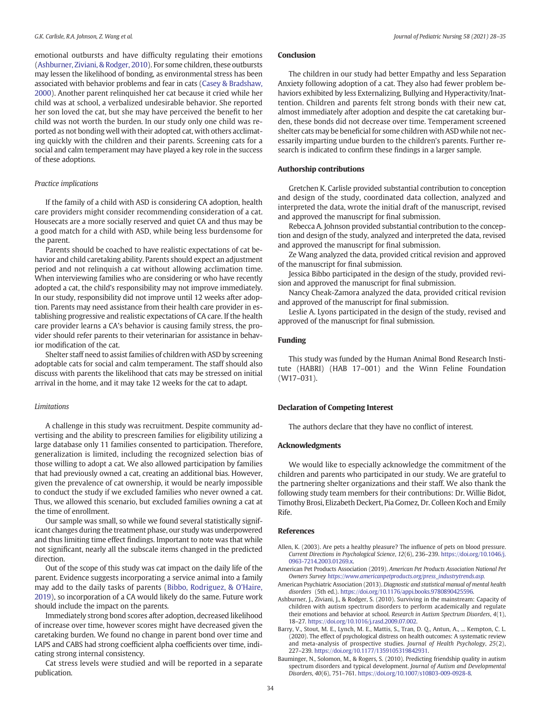emotional outbursts and have difficulty regulating their emotions (Ashburner, Ziviani, & Rodger, 2010). For some children, these outbursts may lessen the likelihood of bonding, as environmental stress has been associated with behavior problems and fear in cats (Casey & Bradshaw, 2000). Another parent relinquished her cat because it cried while her child was at school, a verbalized undesirable behavior. She reported her son loved the cat, but she may have perceived the benefit to her child was not worth the burden. In our study only one child was reported as not bonding well with their adopted cat, with others acclimating quickly with the children and their parents. Screening cats for a social and calm temperament may have played a key role in the success of these adoptions.

### *Practice implications*

If the family of a child with ASD is considering CA adoption, health care providers might consider recommending consideration of a cat. Housecats are a more socially reserved and quiet CA and thus may be a good match for a child with ASD, while being less burdensome for the parent.

Parents should be coached to have realistic expectations of cat behavior and child caretaking ability. Parents should expect an adjustment period and not relinquish a cat without allowing acclimation time. When interviewing families who are considering or who have recently adopted a cat, the child's responsibility may not improve immediately. In our study, responsibility did not improve until 12 weeks after adoption. Parents may need assistance from their health care provider in establishing progressive and realistic expectations of CA care. If the health care provider learns a CA's behavior is causing family stress, the provider should refer parents to their veterinarian for assistance in behavior modification of the cat.

Shelter staff need to assist families of children with ASD by screening adoptable cats for social and calm temperament. The staff should also discuss with parents the likelihood that cats may be stressed on initial arrival in the home, and it may take 12 weeks for the cat to adapt.

#### *Limitations*

A challenge in this study was recruitment. Despite community advertising and the ability to prescreen families for eligibility utilizing a large database only 11 families consented to participation. Therefore, generalization is limited, including the recognized selection bias of those willing to adopt a cat. We also allowed participation by families that had previously owned a cat, creating an additional bias. However, given the prevalence of cat ownership, it would be nearly impossible to conduct the study if we excluded families who never owned a cat. Thus, we allowed this scenario, but excluded families owning a cat at the time of enrollment.

Our sample was small, so while we found several statistically significant changes during the treatment phase, our study was underpowered and thus limiting time effect findings. Important to note was that while not significant, nearly all the subscale items changed in the predicted direction.

Out of the scope of this study was cat impact on the daily life of the parent. Evidence suggests incorporating a service animal into a family may add to the daily tasks of parents (Bibbo, Rodriguez, & O'Haire, 2019), so incorporation of a CA would likely do the same. Future work should include the impact on the parents.

Immediately strong bond scores after adoption, decreased likelihood of increase over time, however scores might have decreased given the caretaking burden. We found no change in parent bond over time and LAPS and CABS had strong coefficient alpha coefficients over time, indicating strong internal consistency.

Cat stress levels were studied and will be reported in a separate publication.

# Conclusion

The children in our study had better Empathy and less Separation Anxiety following adoption of a cat. They also had fewer problem behaviors exhibited by less Externalizing, Bullying and Hyperactivity/Inattention. Children and parents felt strong bonds with their new cat, almost immediately after adoption and despite the cat caretaking burden, these bonds did not decrease over time. Temperament screened shelter cats may be beneficial for some children with ASD while not necessarily imparting undue burden to the children's parents. Further research is indicated to confirm these findings in a larger sample.

#### Authorship contributions

Gretchen K. Carlisle provided substantial contribution to conception and design of the study, coordinated data collection, analyzed and interpreted the data, wrote the initial draft of the manuscript, revised and approved the manuscript for final submission.

Rebecca A. Johnson provided substantial contribution to the conception and design of the study, analyzed and interpreted the data, revised and approved the manuscript for final submission.

Ze Wang analyzed the data, provided critical revision and approved of the manuscript for final submission.

Jessica Bibbo participated in the design of the study, provided revision and approved the manuscript for final submission.

Nancy Cheak-Zamora analyzed the data, provided critical revision and approved of the manuscript for final submission.

Leslie A. Lyons participated in the design of the study, revised and approved of the manuscript for final submission.

#### Funding

This study was funded by the Human Animal Bond Research Institute (HABRI) (HAB 17–001) and the Winn Feline Foundation (W17–031).

#### Declaration of Competing Interest

The authors declare that they have no conflict of interest.

#### Acknowledgments

We would like to especially acknowledge the commitment of the children and parents who participated in our study. We are grateful to the partnering shelter organizations and their staff. We also thank the following study team members for their contributions: Dr. Willie Bidot, Timothy Brosi, Elizabeth Deckert, Pia Gomez, Dr. Colleen Koch and Emily Rife.

#### References

Allen, K. (2003). Are pets a healthy pleasure? The influence of pets on blood pressure. *Current Directions in Psychological Science*, *12*(6), 236–239. https://doi.org/10.1046/j. 0963-7214.2003.01269.x.

- American Pet Products Association (2019). *American Pet Products Association National Pet Owners Survey https://www.americanpetproducts.org/press\_industrytrends.asp.*
- American Psychiatric Association (2013). *Diagnostic and statistical manual of mental health disorders* (5th ed.). https://doi.org/10.1176/appi.books.9780890425596.
- Ashburner, J., Ziviani, J., & Rodger, S. (2010). Surviving in the mainstream: Capacity of children with autism spectrum disorders to perform academically and regulate their emotions and behavior at school. *Research in Autism Spectrum Disorders*, *4*(1), 18–27. https://doi.org/10.1016/j.rasd.2009.07.002.
- Barry, V., Stout, M. E., Lynch, M. E., Mattis, S., Tran, D. Q., Antun, A., ... Kempton, C. L. (2020). The effect of psychological distress on health outcomes: A systematic review and meta-analysis of prospective studies. *Journal of Health Psychology*, *25*(2), 227–239. https://doi.org/10.1177/1359105319842931.
- Bauminger, N., Solomon, M., & Rogers, S. (2010). Predicting friendship quality in autism spectrum disorders and typical development. *Journal of Autism and Developmental Disorders*, *40*(6), 751–761. https://doi.org/10.1007/s10803-009-0928-8.